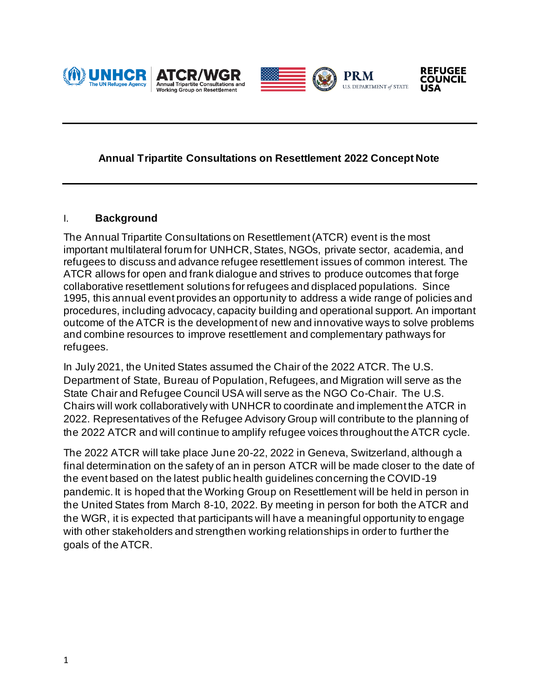





**PRM** 

U.S. DEPARTMENT of STATE



### **Annual Tripartite Consultations on Resettlement 2022 Concept Note**

#### I. **Background**

The Annual Tripartite Consultations on Resettlement (ATCR) event is the most important multilateral forum for UNHCR, States, NGOs, private sector, academia, and refugees to discuss and advance refugee resettlement issues of common interest. The ATCR allows for open and frank dialogue and strives to produce outcomes that forge collaborative resettlement solutions for refugees and displaced populations. Since 1995, this annual event provides an opportunity to address a wide range of policies and procedures, including advocacy, capacity building and operational support. An important outcome of the ATCR is the development of new and innovative ways to solve problems and combine resources to improve resettlement and complementary pathways for refugees.

In July 2021, the United States assumed the Chair of the 2022 ATCR. The U.S. Department of State, Bureau of Population, Refugees, and Migration will serve as the State Chair and Refugee Council USA will serve as the NGO Co-Chair. The U.S. Chairs will work collaboratively with UNHCR to coordinate and implement the ATCR in 2022. Representatives of the Refugee Advisory Group will contribute to the planning of the 2022 ATCR and will continue to amplify refugee voices throughout the ATCR cycle.

The 2022 ATCR will take place June 20-22, 2022 in Geneva, Switzerland, although a final determination on the safety of an in person ATCR will be made closer to the date of the event based on the latest public health guidelines concerning the COVID-19 pandemic. It is hoped that the Working Group on Resettlement will be held in person in the United States from March 8-10, 2022. By meeting in person for both the ATCR and the WGR, it is expected that participants will have a meaningful opportunity to engage with other stakeholders and strengthen working relationships in order to further the goals of the ATCR.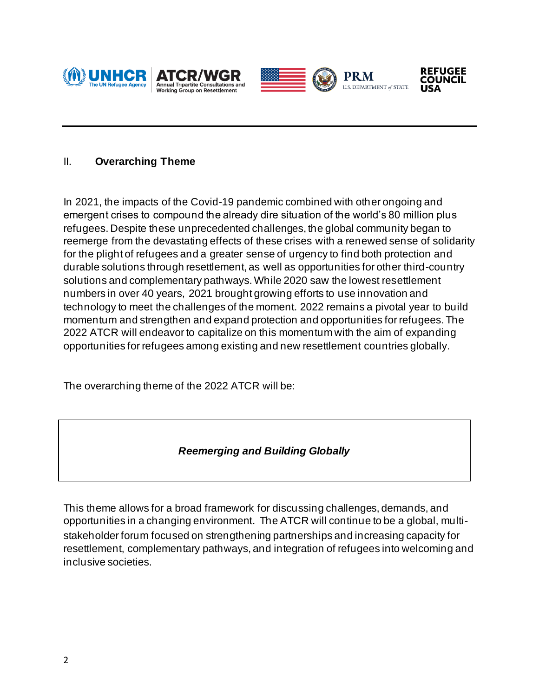



**PRM** 

U.S. DEPARTMENT of STATE



### II. **Overarching Theme**

In 2021, the impacts of the Covid-19 pandemic combined with other ongoing and emergent crises to compound the already dire situation of the world's 80 million plus refugees. Despite these unprecedented challenges, the global community began to reemerge from the devastating effects of these crises with a renewed sense of solidarity for the plight of refugees and a greater sense of urgency to find both protection and durable solutions through resettlement, as well as opportunities for other third-country solutions and complementary pathways. While 2020 saw the lowest resettlement numbers in over 40 years, 2021 brought growing efforts to use innovation and technology to meet the challenges of the moment. 2022 remains a pivotal year to build momentum and strengthen and expand protection and opportunities for refugees. The 2022 ATCR will endeavor to capitalize on this momentum with the aim of expanding opportunities for refugees among existing and new resettlement countries globally.

The overarching theme of the 2022 ATCR will be:

## *Reemerging and Building Globally*

This theme allows for a broad framework for discussing challenges, demands, and opportunities in a changing environment. The ATCR will continue to be a global, multistakeholder forum focused on strengthening partnerships and increasing capacity for resettlement, complementary pathways, and integration of refugees into welcoming and inclusive societies.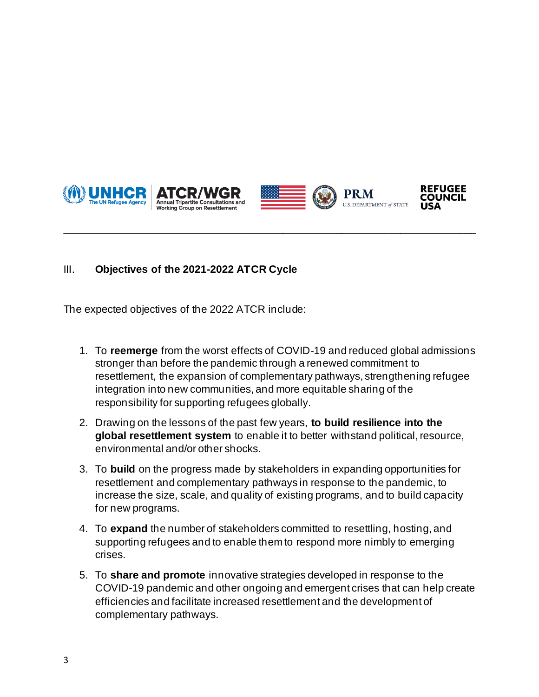



# III. **Objectives of the 2021-2022 ATCR Cycle**

The expected objectives of the 2022 ATCR include:

1. To **reemerge** from the worst effects of COVID-19 and reduced global admissions stronger than before the pandemic through a renewed commitment to resettlement, the expansion of complementary pathways, strengthening refugee integration into new communities, and more equitable sharing of the responsibility for supporting refugees globally.

**\_\_\_\_\_\_\_\_\_\_\_\_\_\_\_\_\_\_\_\_\_\_\_\_\_\_\_\_\_\_\_\_\_\_\_\_\_\_\_\_\_\_\_\_\_\_\_\_\_\_\_\_\_\_\_\_\_\_\_\_\_\_\_\_\_\_\_\_\_\_**

- 2. Drawing on the lessons of the past few years, **to build resilience into the global resettlement system** to enable it to better withstand political, resource, environmental and/or other shocks.
- 3. To **build** on the progress made by stakeholders in expanding opportunities for resettlement and complementary pathways in response to the pandemic, to increase the size, scale, and quality of existing programs, and to build capacity for new programs.
- 4. To **expand** the number of stakeholders committed to resettling, hosting, and supporting refugees and to enable them to respond more nimbly to emerging crises.
- 5. To **share and promote** innovative strategies developed in response to the COVID-19 pandemic and other ongoing and emergent crises that can help create efficiencies and facilitate increased resettlement and the development of complementary pathways.